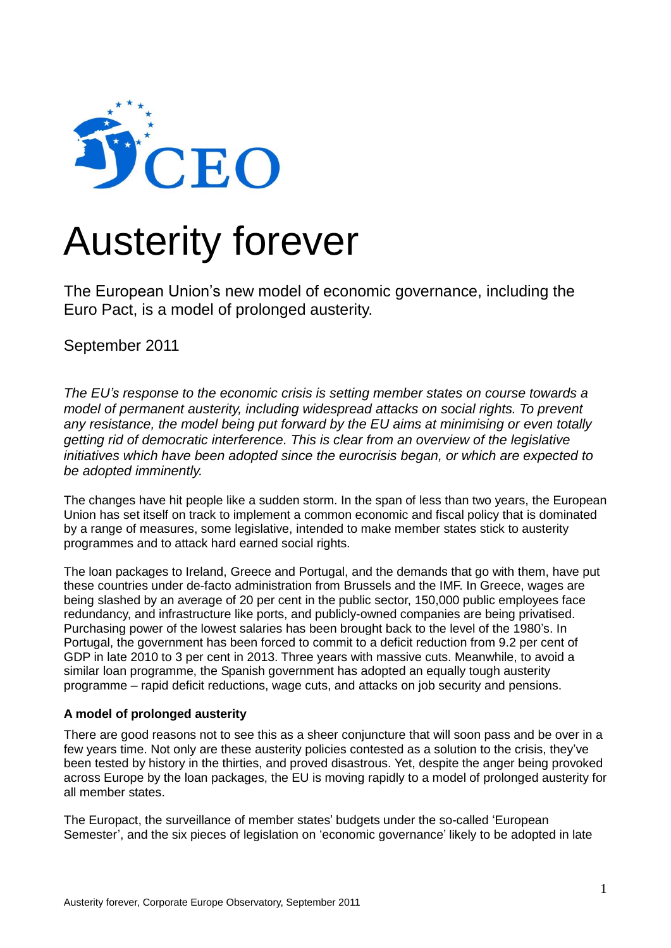

# Austerity forever

The European Union's new model of economic governance, including the Euro Pact, is a model of prolonged austerity.

September 2011

*The EU's response to the economic crisis is setting member states on course towards a model of permanent austerity, including widespread attacks on social rights. To prevent any resistance, the model being put forward by the EU aims at minimising or even totally getting rid of democratic interference. This is clear from an overview of the legislative initiatives which have been adopted since the eurocrisis began, or which are expected to be adopted imminently.*

The changes have hit people like a sudden storm. In the span of less than two years, the European Union has set itself on track to implement a common economic and fiscal policy that is dominated by a range of measures, some legislative, intended to make member states stick to austerity programmes and to attack hard earned social rights.

The loan packages to Ireland, Greece and Portugal, and the demands that go with them, have put these countries under de-facto administration from Brussels and the IMF. In Greece, wages are being slashed by an average of 20 per cent in the public sector, 150,000 public employees face redundancy, and infrastructure like ports, and publicly-owned companies are being privatised. Purchasing power of the lowest salaries has been brought back to the level of the 1980's. In Portugal, the government has been forced to commit to a deficit reduction from 9.2 per cent of GDP in late 2010 to 3 per cent in 2013. Three years with massive cuts. Meanwhile, to avoid a similar loan programme, the Spanish government has adopted an equally tough austerity programme – rapid deficit reductions, wage cuts, and attacks on job security and pensions.

## **A model of prolonged austerity**

There are good reasons not to see this as a sheer conjuncture that will soon pass and be over in a few years time. Not only are these austerity policies contested as a solution to the crisis, they've been tested by history in the thirties, and proved disastrous. Yet, despite the anger being provoked across Europe by the loan packages, the EU is moving rapidly to a model of prolonged austerity for all member states.

The Europact, the surveillance of member states' budgets under the so-called 'European Semester', and the six pieces of legislation on 'economic governance' likely to be adopted in late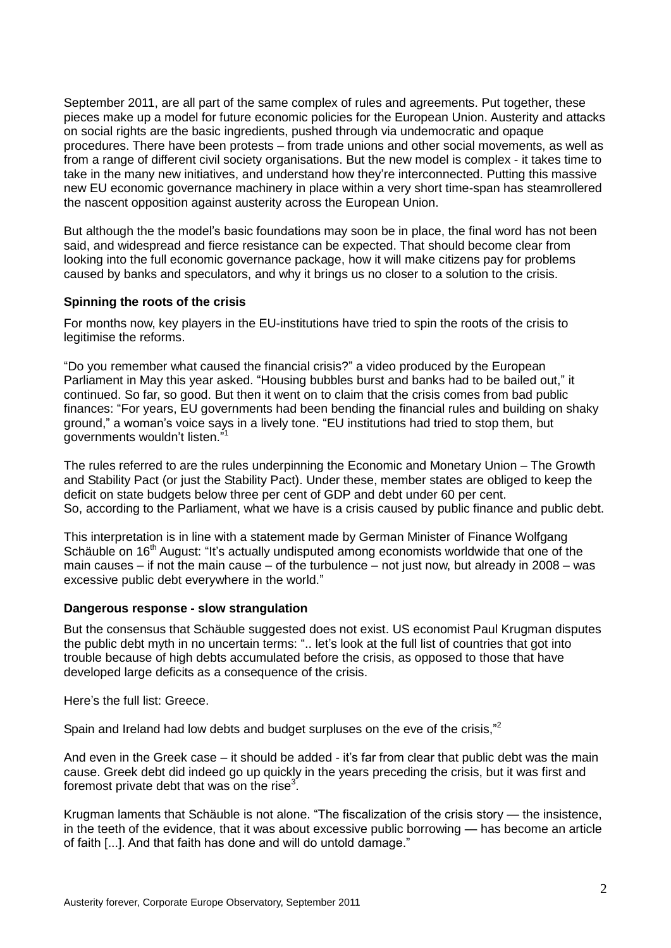September 2011, are all part of the same complex of rules and agreements. Put together, these pieces make up a model for future economic policies for the European Union. Austerity and attacks on social rights are the basic ingredients, pushed through via undemocratic and opaque procedures. There have been protests – from trade unions and other social movements, as well as from a range of different civil society organisations. But the new model is complex - it takes time to take in the many new initiatives, and understand how they're interconnected. Putting this massive new EU economic governance machinery in place within a very short time-span has steamrollered the nascent opposition against austerity across the European Union.

But although the the model's basic foundations may soon be in place, the final word has not been said, and widespread and fierce resistance can be expected. That should become clear from looking into the full economic governance package, how it will make citizens pay for problems caused by banks and speculators, and why it brings us no closer to a solution to the crisis.

#### **Spinning the roots of the crisis**

For months now, key players in the EU-institutions have tried to spin the roots of the crisis to legitimise the reforms.

"Do you remember what caused the financial crisis?" a video produced by the European Parliament in May this year asked. "Housing bubbles burst and banks had to be bailed out," it continued. So far, so good. But then it went on to claim that the crisis comes from bad public finances: "For years, EU governments had been bending the financial rules and building on shaky ground," a woman's voice says in a lively tone. "EU institutions had tried to stop them, but governments wouldn't listen."<sup>1</sup>

The rules referred to are the rules underpinning the Economic and Monetary Union – The Growth and Stability Pact (or just the Stability Pact). Under these, member states are obliged to keep the deficit on state budgets below three per cent of GDP and debt under 60 per cent. So, according to the Parliament, what we have is a crisis caused by public finance and public debt.

This interpretation is in line with a statement made by German Minister of Finance Wolfgang Schäuble on 16<sup>th</sup> August: "It's actually undisputed among economists worldwide that one of the main causes – if not the main cause – of the turbulence – not just now, but already in 2008 – was excessive public debt everywhere in the world."

#### **Dangerous response - slow strangulation**

But the consensus that Schäuble suggested does not exist. US economist Paul Krugman disputes the public debt myth in no uncertain terms: ".. let's look at the full list of countries that got into trouble because of high debts accumulated before the crisis, as opposed to those that have developed large deficits as a consequence of the crisis.

Here's the full list: Greece.

Spain and Ireland had low debts and budget surpluses on the eve of the crisis,"<sup>2</sup>

And even in the Greek case – it should be added - it's far from clear that public debt was the main cause. Greek debt did indeed go up quickly in the years preceding the crisis, but it was first and foremost private debt that was on the rise<sup>3</sup>.

Krugman laments that Schäuble is not alone. "The fiscalization of the crisis story — the insistence, in the teeth of the evidence, that it was about excessive public borrowing — has become an article of faith [...]. And that faith has done and will do untold damage."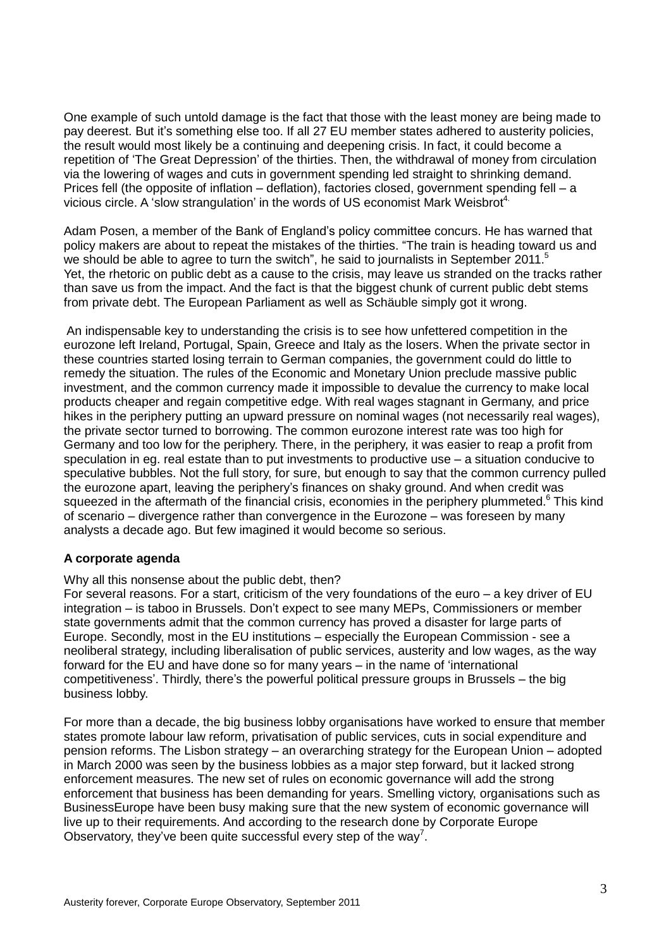One example of such untold damage is the fact that those with the least money are being made to pay deerest. But it's something else too. If all 27 EU member states adhered to austerity policies, the result would most likely be a continuing and deepening crisis. In fact, it could become a repetition of 'The Great Depression' of the thirties. Then, the withdrawal of money from circulation via the lowering of wages and cuts in government spending led straight to shrinking demand. Prices fell (the opposite of inflation – deflation), factories closed, government spending fell – a vicious circle. A 'slow strangulation' in the words of US economist Mark Weisbrot<sup>4.</sup>

Adam Posen, a member of the Bank of England's policy committee concurs. He has warned that policy makers are about to repeat the mistakes of the thirties. "The train is heading toward us and we should be able to agree to turn the switch", he said to journalists in September 2011.<sup>5</sup> Yet, the rhetoric on public debt as a cause to the crisis, may leave us stranded on the tracks rather than save us from the impact. And the fact is that the biggest chunk of current public debt stems from private debt. The European Parliament as well as Schäuble simply got it wrong.

An indispensable key to understanding the crisis is to see how unfettered competition in the eurozone left Ireland, Portugal, Spain, Greece and Italy as the losers. When the private sector in these countries started losing terrain to German companies, the government could do little to remedy the situation. The rules of the Economic and Monetary Union preclude massive public investment, and the common currency made it impossible to devalue the currency to make local products cheaper and regain competitive edge. With real wages stagnant in Germany, and price hikes in the periphery putting an upward pressure on nominal wages (not necessarily real wages), the private sector turned to borrowing. The common eurozone interest rate was too high for Germany and too low for the periphery. There, in the periphery, it was easier to reap a profit from speculation in eg. real estate than to put investments to productive use – a situation conducive to speculative bubbles. Not the full story, for sure, but enough to say that the common currency pulled the eurozone apart, leaving the periphery's finances on shaky ground. And when credit was squeezed in the aftermath of the financial crisis, economies in the periphery plummeted.<sup>6</sup> This kind of scenario – divergence rather than convergence in the Eurozone – was foreseen by many analysts a decade ago. But few imagined it would become so serious.

## **A corporate agenda**

Why all this nonsense about the public debt, then?

For several reasons. For a start, criticism of the very foundations of the euro – a key driver of EU integration – is taboo in Brussels. Don't expect to see many MEPs, Commissioners or member state governments admit that the common currency has proved a disaster for large parts of Europe. Secondly, most in the EU institutions – especially the European Commission - see a neoliberal strategy, including liberalisation of public services, austerity and low wages, as the way forward for the EU and have done so for many years – in the name of 'international competitiveness'. Thirdly, there's the powerful political pressure groups in Brussels – the big business lobby.

For more than a decade, the big business lobby organisations have worked to ensure that member states promote labour law reform, privatisation of public services, cuts in social expenditure and pension reforms. The Lisbon strategy – an overarching strategy for the European Union – adopted in March 2000 was seen by the business lobbies as a major step forward, but it lacked strong enforcement measures. The new set of rules on economic governance will add the strong enforcement that business has been demanding for years. Smelling victory, organisations such as BusinessEurope have been busy making sure that the new system of economic governance will live up to their requirements. And according to the research done by Corporate Europe Observatory, they've been quite successful every step of the way<sup>7</sup>.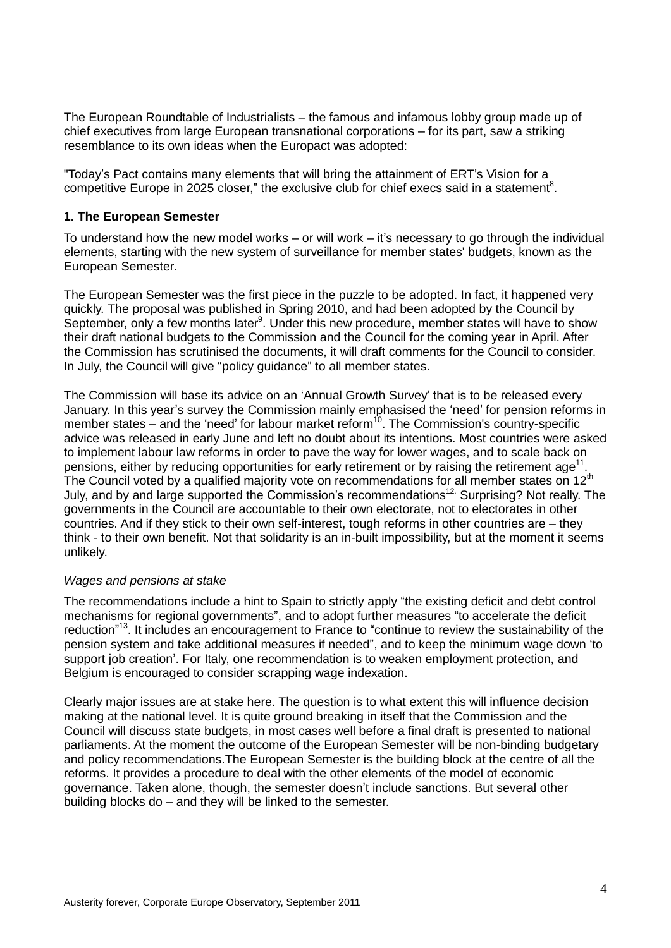The European Roundtable of Industrialists – the famous and infamous lobby group made up of chief executives from large European transnational corporations – for its part, saw a striking resemblance to its own ideas when the Europact was adopted:

"Today's Pact contains many elements that will bring the attainment of ERT's Vision for a competitive Europe in 2025 closer," the exclusive club for chief execs said in a statement<sup>8</sup>.

#### **1. The European Semester**

To understand how the new model works – or will work – it's necessary to go through the individual elements, starting with the new system of surveillance for member states' budgets, known as the European Semester.

The European Semester was the first piece in the puzzle to be adopted. In fact, it happened very quickly. The proposal was published in Spring 2010, and had been adopted by the Council by September, only a few months later<sup>9</sup>. Under this new procedure, member states will have to show their draft national budgets to the Commission and the Council for the coming year in April. After the Commission has scrutinised the documents, it will draft comments for the Council to consider. In July, the Council will give "policy guidance" to all member states.

The Commission will base its advice on an 'Annual Growth Survey' that is to be released every January. In this year's survey the Commission mainly emphasised the 'need' for pension reforms in member states  $-$  and the 'need' for labour market reform<sup>10</sup>. The Commission's country-specific advice was released in early June and left no doubt about its intentions. Most countries were asked to implement labour law reforms in order to pave the way for lower wages, and to scale back on pensions, either by reducing opportunities for early retirement or by raising the retirement age<sup>11</sup>. The Council voted by a qualified majority vote on recommendations for all member states on 12<sup>th</sup> July, and by and large supported the Commission's recommendations<sup>12.</sup> Surprising? Not really. The governments in the Council are accountable to their own electorate, not to electorates in other countries. And if they stick to their own self-interest, tough reforms in other countries are – they think - to their own benefit. Not that solidarity is an in-built impossibility, but at the moment it seems unlikely.

## *Wages and pensions at stake*

The recommendations include a hint to Spain to strictly apply "the existing deficit and debt control mechanisms for regional governments", and to adopt further measures "to accelerate the deficit reduction"<sup>13</sup>. It includes an encouragement to France to "continue to review the sustainability of the pension system and take additional measures if needed", and to keep the minimum wage down 'to support job creation'. For Italy, one recommendation is to weaken employment protection, and Belgium is encouraged to consider scrapping wage indexation.

Clearly major issues are at stake here. The question is to what extent this will influence decision making at the national level. It is quite ground breaking in itself that the Commission and the Council will discuss state budgets, in most cases well before a final draft is presented to national parliaments. At the moment the outcome of the European Semester will be non-binding budgetary and policy recommendations.The European Semester is the building block at the centre of all the reforms. It provides a procedure to deal with the other elements of the model of economic governance. Taken alone, though, the semester doesn't include sanctions. But several other building blocks do – and they will be linked to the semester.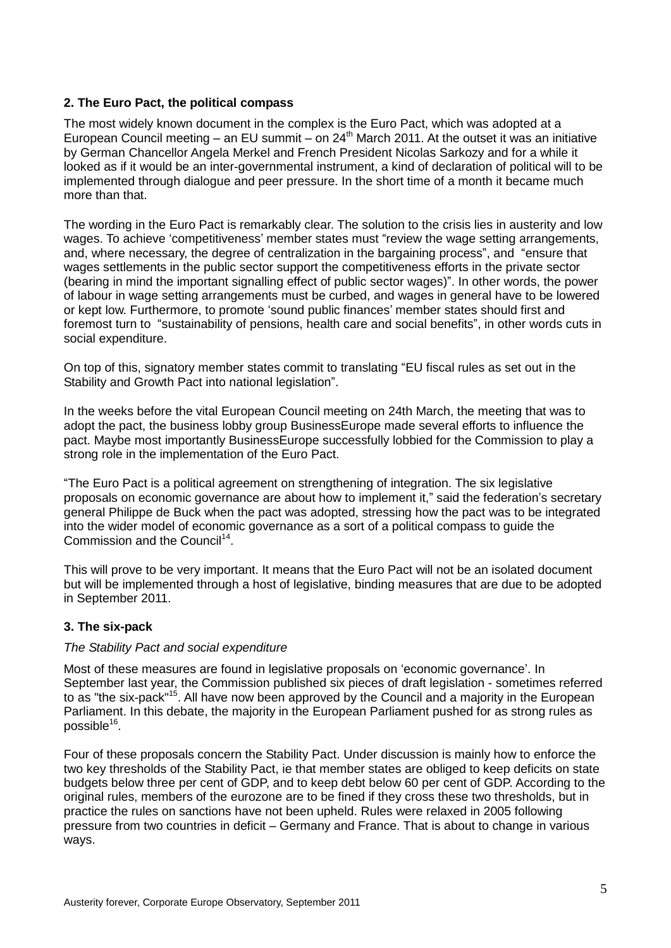# **2. The Euro Pact, the political compass**

The most widely known document in the complex is the Euro Pact, which was adopted at a European Council meeting – an EU summit – on  $24<sup>th</sup>$  March 2011. At the outset it was an initiative by German Chancellor Angela Merkel and French President Nicolas Sarkozy and for a while it looked as if it would be an inter-governmental instrument, a kind of declaration of political will to be implemented through dialogue and peer pressure. In the short time of a month it became much more than that.

The wording in the Euro Pact is remarkably clear. The solution to the crisis lies in austerity and low wages. To achieve 'competitiveness' member states must "review the wage setting arrangements, and, where necessary, the degree of centralization in the bargaining process", and "ensure that wages settlements in the public sector support the competitiveness efforts in the private sector (bearing in mind the important signalling effect of public sector wages)". In other words, the power of labour in wage setting arrangements must be curbed, and wages in general have to be lowered or kept low. Furthermore, to promote 'sound public finances' member states should first and foremost turn to "sustainability of pensions, health care and social benefits", in other words cuts in social expenditure.

On top of this, signatory member states commit to translating "EU fiscal rules as set out in the Stability and Growth Pact into national legislation".

In the weeks before the vital European Council meeting on 24th March, the meeting that was to adopt the pact, the business lobby group BusinessEurope made several efforts to influence the pact. Maybe most importantly BusinessEurope successfully lobbied for the Commission to play a strong role in the implementation of the Euro Pact.

"The Euro Pact is a political agreement on strengthening of integration. The six legislative proposals on economic governance are about how to implement it," said the federation's secretary general Philippe de Buck when the pact was adopted, stressing how the pact was to be integrated into the wider model of economic governance as a sort of a political compass to guide the Commission and the Council<sup>14</sup>.

This will prove to be very important. It means that the Euro Pact will not be an isolated document but will be implemented through a host of legislative, binding measures that are due to be adopted in September 2011.

## **3. The six-pack**

## *The Stability Pact and social expenditure*

Most of these measures are found in legislative proposals on 'economic governance'. In September last year, the Commission published six pieces of draft legislation - sometimes referred to as "the six-pack"<sup>15</sup>. All have now been approved by the Council and a majority in the European Parliament. In this debate, the majority in the European Parliament pushed for as strong rules as possible<sup>16</sup>.

Four of these proposals concern the Stability Pact. Under discussion is mainly how to enforce the two key thresholds of the Stability Pact, ie that member states are obliged to keep deficits on state budgets below three per cent of GDP, and to keep debt below 60 per cent of GDP. According to the original rules, members of the eurozone are to be fined if they cross these two thresholds, but in practice the rules on sanctions have not been upheld. Rules were relaxed in 2005 following pressure from two countries in deficit – Germany and France. That is about to change in various ways.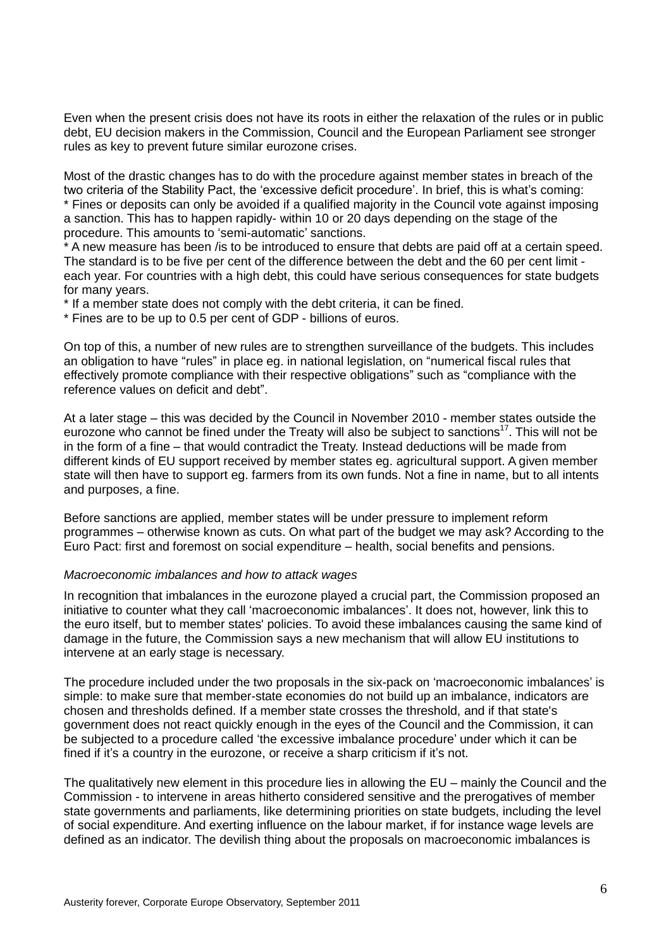Even when the present crisis does not have its roots in either the relaxation of the rules or in public debt, EU decision makers in the Commission, Council and the European Parliament see stronger rules as key to prevent future similar eurozone crises.

Most of the drastic changes has to do with the procedure against member states in breach of the two criteria of the Stability Pact, the 'excessive deficit procedure'. In brief, this is what's coming: \* Fines or deposits can only be avoided if a qualified majority in the Council vote against imposing a sanction. This has to happen rapidly- within 10 or 20 days depending on the stage of the procedure. This amounts to 'semi-automatic' sanctions.

\* A new measure has been /is to be introduced to ensure that debts are paid off at a certain speed. The standard is to be five per cent of the difference between the debt and the 60 per cent limit each year. For countries with a high debt, this could have serious consequences for state budgets for many years.

\* If a member state does not comply with the debt criteria, it can be fined.

\* Fines are to be up to 0.5 per cent of GDP - billions of euros.

On top of this, a number of new rules are to strengthen surveillance of the budgets. This includes an obligation to have "rules" in place eg. in national legislation, on "numerical fiscal rules that effectively promote compliance with their respective obligations" such as "compliance with the reference values on deficit and debt".

At a later stage – this was decided by the Council in November 2010 - member states outside the eurozone who cannot be fined under the Treaty will also be subject to sanctions<sup>17</sup>. This will not be in the form of a fine – that would contradict the Treaty. Instead deductions will be made from different kinds of EU support received by member states eg. agricultural support. A given member state will then have to support eg. farmers from its own funds. Not a fine in name, but to all intents and purposes, a fine.

Before sanctions are applied, member states will be under pressure to implement reform programmes – otherwise known as cuts. On what part of the budget we may ask? According to the Euro Pact: first and foremost on social expenditure – health, social benefits and pensions.

## *Macroeconomic imbalances and how to attack wages*

In recognition that imbalances in the eurozone played a crucial part, the Commission proposed an initiative to counter what they call 'macroeconomic imbalances'. It does not, however, link this to the euro itself, but to member states' policies. To avoid these imbalances causing the same kind of damage in the future, the Commission says a new mechanism that will allow EU institutions to intervene at an early stage is necessary.

The procedure included under the two proposals in the six-pack on 'macroeconomic imbalances' is simple: to make sure that member-state economies do not build up an imbalance, indicators are chosen and thresholds defined. If a member state crosses the threshold, and if that state's government does not react quickly enough in the eyes of the Council and the Commission, it can be subjected to a procedure called 'the excessive imbalance procedure' under which it can be fined if it's a country in the eurozone, or receive a sharp criticism if it's not.

The qualitatively new element in this procedure lies in allowing the EU – mainly the Council and the Commission - to intervene in areas hitherto considered sensitive and the prerogatives of member state governments and parliaments, like determining priorities on state budgets, including the level of social expenditure. And exerting influence on the labour market, if for instance wage levels are defined as an indicator. The devilish thing about the proposals on macroeconomic imbalances is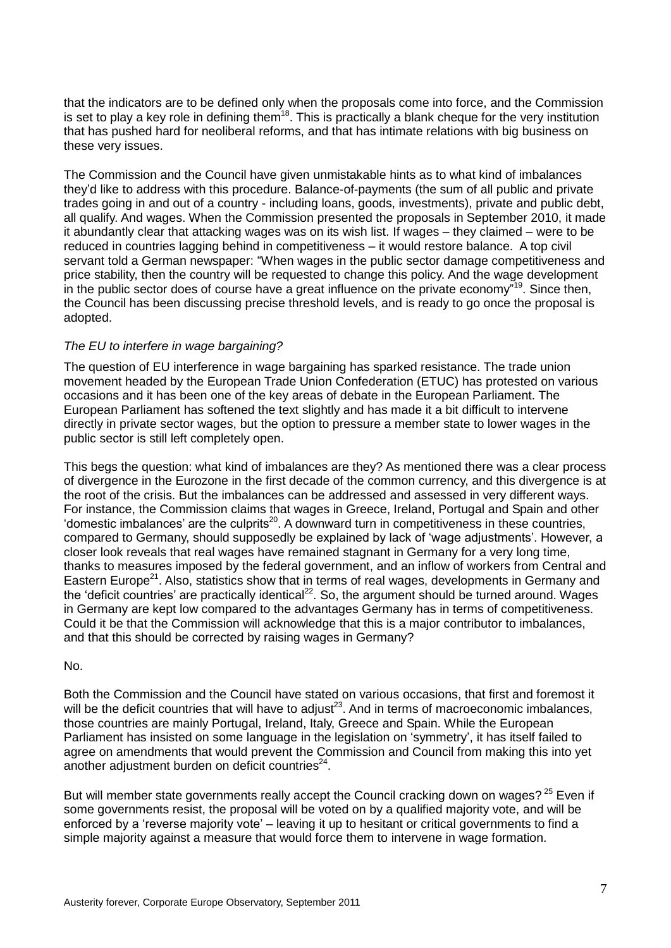that the indicators are to be defined only when the proposals come into force, and the Commission is set to play a key role in defining them<sup>18</sup>. This is practically a blank cheque for the very institution that has pushed hard for neoliberal reforms, and that has intimate relations with big business on these very issues.

The Commission and the Council have given unmistakable hints as to what kind of imbalances they'd like to address with this procedure. Balance-of-payments (the sum of all public and private trades going in and out of a country - including loans, goods, investments), private and public debt, all qualify. And wages. When the Commission presented the proposals in September 2010, it made it abundantly clear that attacking wages was on its wish list. If wages – they claimed – were to be reduced in countries lagging behind in competitiveness – it would restore balance. A top civil servant told a German newspaper: "When wages in the public sector damage competitiveness and price stability, then the country will be requested to change this policy. And the wage development in the public sector does of course have a great influence on the private economy"<sup>19</sup>. Since then, the Council has been discussing precise threshold levels, and is ready to go once the proposal is adopted.

## *The EU to interfere in wage bargaining?*

The question of EU interference in wage bargaining has sparked resistance. The trade union movement headed by the European Trade Union Confederation (ETUC) has protested on various occasions and it has been one of the key areas of debate in the European Parliament. The European Parliament has softened the text slightly and has made it a bit difficult to intervene directly in private sector wages, but the option to pressure a member state to lower wages in the public sector is still left completely open.

This begs the question: what kind of imbalances are they? As mentioned there was a clear process of divergence in the Eurozone in the first decade of the common currency, and this divergence is at the root of the crisis. But the imbalances can be addressed and assessed in very different ways. For instance, the Commission claims that wages in Greece, Ireland, Portugal and Spain and other 'domestic imbalances' are the culprits<sup>20</sup>. A downward turn in competitiveness in these countries, compared to Germany, should supposedly be explained by lack of 'wage adjustments'. However, a closer look reveals that real wages have remained stagnant in Germany for a very long time, thanks to measures imposed by the federal government, and an inflow of workers from Central and Eastern Europe<sup>21</sup>. Also, statistics show that in terms of real wages, developments in Germany and the 'deficit countries' are practically identical<sup>22</sup>. So, the argument should be turned around. Wages in Germany are kept low compared to the advantages Germany has in terms of competitiveness. Could it be that the Commission will acknowledge that this is a major contributor to imbalances, and that this should be corrected by raising wages in Germany?

#### No.

Both the Commission and the Council have stated on various occasions, that first and foremost it will be the deficit countries that will have to adjust<sup>23</sup>. And in terms of macroeconomic imbalances, those countries are mainly Portugal, Ireland, Italy, Greece and Spain. While the European Parliament has insisted on some language in the legislation on 'symmetry', it has itself failed to agree on amendments that would prevent the Commission and Council from making this into yet another adjustment burden on deficit countries $^{24}$ .

But will member state governments really accept the Council cracking down on wages?<sup>25</sup> Even if some governments resist, the proposal will be voted on by a qualified majority vote, and will be enforced by a 'reverse majority vote' – leaving it up to hesitant or critical governments to find a simple majority against a measure that would force them to intervene in wage formation.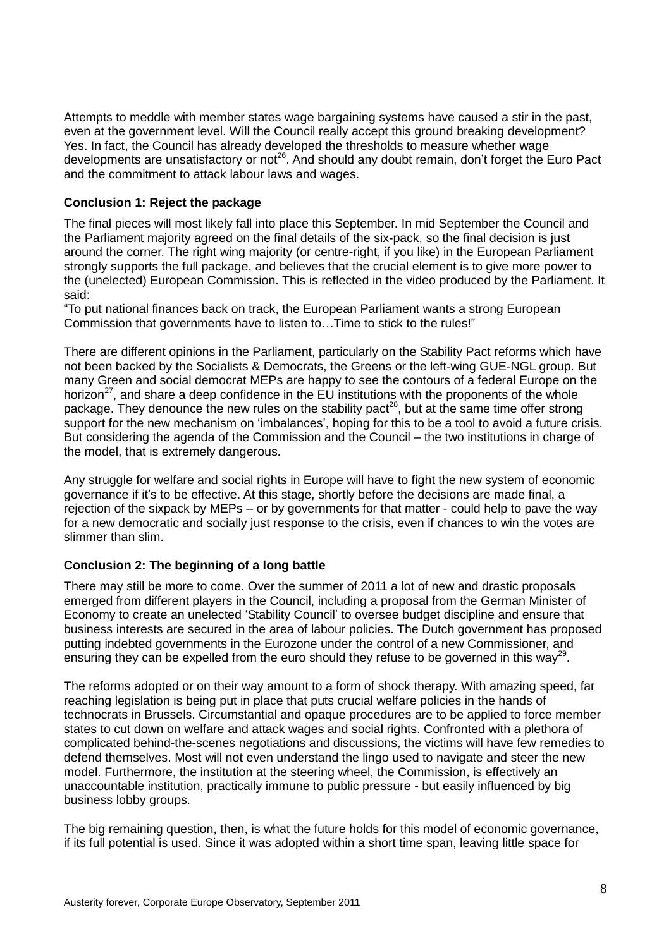Attempts to meddle with member states wage bargaining systems have caused a stir in the past, even at the government level. Will the Council really accept this ground breaking development? Yes. In fact, the Council has already developed the thresholds to measure whether wage developments are unsatisfactory or not<sup>26</sup>. And should any doubt remain, don't forget the Euro Pact and the commitment to attack labour laws and wages.

## **Conclusion 1: Reject the package**

The final pieces will most likely fall into place this September. In mid September the Council and the Parliament majority agreed on the final details of the six-pack, so the final decision is just around the corner. The right wing majority (or centre-right, if you like) in the European Parliament strongly supports the full package, and believes that the crucial element is to give more power to the (unelected) European Commission. This is reflected in the video produced by the Parliament. It said:

"To put national finances back on track, the European Parliament wants a strong European Commission that governments have to listen to…Time to stick to the rules!"

There are different opinions in the Parliament, particularly on the Stability Pact reforms which have not been backed by the Socialists & Democrats, the Greens or the left-wing GUE-NGL group. But many Green and social democrat MEPs are happy to see the contours of a federal Europe on the horizon<sup>27</sup>, and share a deep confidence in the EU institutions with the proponents of the whole package. They denounce the new rules on the stability pact<sup>28</sup>, but at the same time offer strong support for the new mechanism on 'imbalances', hoping for this to be a tool to avoid a future crisis. But considering the agenda of the Commission and the Council – the two institutions in charge of the model, that is extremely dangerous.

Any struggle for welfare and social rights in Europe will have to fight the new system of economic governance if it's to be effective. At this stage, shortly before the decisions are made final, a rejection of the sixpack by MEPs – or by governments for that matter - could help to pave the way for a new democratic and socially just response to the crisis, even if chances to win the votes are slimmer than slim.

## **Conclusion 2: The beginning of a long battle**

There may still be more to come. Over the summer of 2011 a lot of new and drastic proposals emerged from different players in the Council, including a proposal from the German Minister of Economy to create an unelected 'Stability Council' to oversee budget discipline and ensure that business interests are secured in the area of labour policies. The Dutch government has proposed putting indebted governments in the Eurozone under the control of a new Commissioner, and ensuring they can be expelled from the euro should they refuse to be governed in this way<sup>29</sup>.

The reforms adopted or on their way amount to a form of shock therapy. With amazing speed, far reaching legislation is being put in place that puts crucial welfare policies in the hands of technocrats in Brussels. Circumstantial and opaque procedures are to be applied to force member states to cut down on welfare and attack wages and social rights. Confronted with a plethora of complicated behind-the-scenes negotiations and discussions, the victims will have few remedies to defend themselves. Most will not even understand the lingo used to navigate and steer the new model. Furthermore, the institution at the steering wheel, the Commission, is effectively an unaccountable institution, practically immune to public pressure - but easily influenced by big business lobby groups.

The big remaining question, then, is what the future holds for this model of economic governance, if its full potential is used. Since it was adopted within a short time span, leaving little space for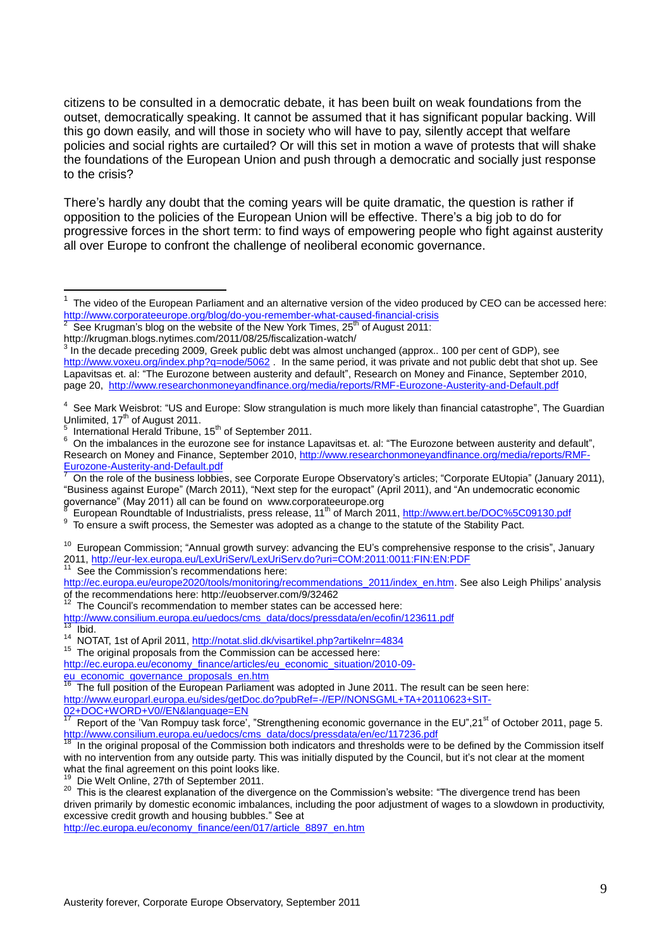citizens to be consulted in a democratic debate, it has been built on weak foundations from the outset, democratically speaking. It cannot be assumed that it has significant popular backing. Will this go down easily, and will those in society who will have to pay, silently accept that welfare policies and social rights are curtailed? Or will this set in motion a wave of protests that will shake the foundations of the European Union and push through a democratic and socially just response to the crisis?

There's hardly any doubt that the coming years will be quite dramatic, the question is rather if opposition to the policies of the European Union will be effective. There's a big job to do for progressive forces in the short term: to find ways of empowering people who fight against austerity all over Europe to confront the challenge of neoliberal economic governance.

5 International Herald Tribune, 15<sup>th</sup> of September 2011.

<u>.</u>

9 To ensure a swift process, the Semester was adopted as a change to the statute of the Stability Pact.

<sup>10</sup> European Commission; "Annual growth survey: advancing the EU's comprehensive response to the crisis", January 2011, <http://eur-lex.europa.eu/LexUriServ/LexUriServ.do?uri=COM:2011:0011:FIN:EN:PDF>

See the Commission's recommendations here:

[http://ec.europa.eu/europe2020/tools/monitoring/recommendations\\_2011/index\\_en.htm.](http://ec.europa.eu/europe2020/tools/monitoring/recommendations_2011/index_en.htm) See also Leigh Philips' analysis of the recommendations here: http://euobserver.com/9/32462

[http://www.consilium.europa.eu/uedocs/cms\\_data/docs/pressdata/en/ecofin/123611.pdf](http://www.consilium.europa.eu/uedocs/cms_data/docs/pressdata/en/ecofin/123611.pdf)  $13$  Ibid.

The original proposals from the Commission can be accessed here:

Die Welt Online, 27th of September 2011.

<sup>20</sup> This is the clearest explanation of the divergence on the Commission's website: "The divergence trend has been driven primarily by domestic economic imbalances, including the poor adjustment of wages to a slowdown in productivity, excessive credit growth and housing bubbles." See at

[http://ec.europa.eu/economy\\_finance/een/017/article\\_8897\\_en.htm](http://ec.europa.eu/economy_finance/een/017/article_8897_en.htm)

<sup>1</sup> The video of the European Parliament and an alternative version of the video produced by CEO can be accessed here: <http://www.corporateeurope.org/blog/do-you-remember-what-caused-financial-crisis><br>2. See Krugman's blog on the website of the New York Times, 25<sup>th</sup> of August 2011;

See Krugman's blog on the website of the New York Times, 25<sup>th</sup> of August 2011:

http://krugman.blogs.nytimes.com/2011/08/25/fiscalization-watch/<br>3 In the decade preseding 2000, Creak public debt was almost un

In the decade preceding 2009, Greek public debt was almost unchanged (approx.. 100 per cent of GDP), see <http://www.voxeu.org/index.php?q=node/5062>. In the same period, it was private and not public debt that shot up. See Lapavitsas et. al: "The Eurozone between austerity and default", Research on Money and Finance, September 2010, page 20,<http://www.researchonmoneyandfinance.org/media/reports/RMF-Eurozone-Austerity-and-Default.pdf>

<sup>&</sup>lt;sup>4</sup> See Mark Weisbrot: "US and Europe: Slow strangulation is much more likely than financial catastrophe", The Guardian Unlimited,  $17<sup>th</sup>$  of August 2011.

<sup>&</sup>lt;sup>6</sup> On the imbalances in the eurozone see for instance Lapavitsas et. al: "The Eurozone between austerity and default", Research on Money and Finance, September 2010, [http://www.researchonmoneyandfinance.org/media/reports/RMF-](http://www.researchonmoneyandfinance.org/media/reports/RMF-Eurozone-Austerity-and-Default.pdf)[Eurozone-Austerity-and-Default.pdf](http://www.researchonmoneyandfinance.org/media/reports/RMF-Eurozone-Austerity-and-Default.pdf)

<sup>7</sup> On the role of the business lobbies, see Corporate Europe Observatory's articles; "Corporate EUtopia" (January 2011), "Business against Europe" (March 2011), "Next step for the europact" (April 2011), and "An undemocratic economic governance" (May 2011) all can be found on www.corporateeurope.org<br><sup>8</sup> European Boundtable of Industrialists, press relegee, 11<sup>th</sup> of March 20

European Roundtable of Industrialists, press release, 11<sup>th</sup> of March 2011, <http://www.ert.be/DOC%5C09130.pdf>

 $12$  The Council's recommendation to member states can be accessed here:

<sup>&</sup>lt;sup>14</sup> NOTAT, 1st of April 2011, <http://notat.slid.dk/visartikel.php?artikelnr=4834>

[http://ec.europa.eu/economy\\_finance/articles/eu\\_economic\\_situation/2010-09](http://ec.europa.eu/economy_finance/articles/eu_economic_situation/2010-09-eu_economic_governance_proposals_en.htm) [eu\\_economic\\_governance\\_proposals\\_en.htm](http://ec.europa.eu/economy_finance/articles/eu_economic_situation/2010-09-eu_economic_governance_proposals_en.htm)

The full position of the European Parliament was adopted in June 2011. The result can be seen here: [http://www.europarl.europa.eu/sides/getDoc.do?pubRef=-//EP//NONSGML+TA+20110623+SIT-](http://www.europarl.europa.eu/sides/getDoc.do?pubRef=-//EP//NONSGML+TA+20110623+SIT-02+DOC+WORD+V0//EN&language=EN)[02+DOC+WORD+V0//EN&language=EN](http://www.europarl.europa.eu/sides/getDoc.do?pubRef=-//EP//NONSGML+TA+20110623+SIT-02+DOC+WORD+V0//EN&language=EN)

Report of the 'Van Rompuy task force', "Strengthening economic governance in the EU",21<sup>st</sup> of October 2011, page 5. [http://www.consilium.europa.eu/uedocs/cms\\_data/docs/pressdata/en/ec/117236.pdf](http://www.consilium.europa.eu/uedocs/cms_data/docs/pressdata/en/ec/117236.pdf)

In the original proposal of the Commission both indicators and thresholds were to be defined by the Commission itself with no intervention from any outside party. This was initially disputed by the Council, but it's not clear at the moment what the final agreement on this point looks like.